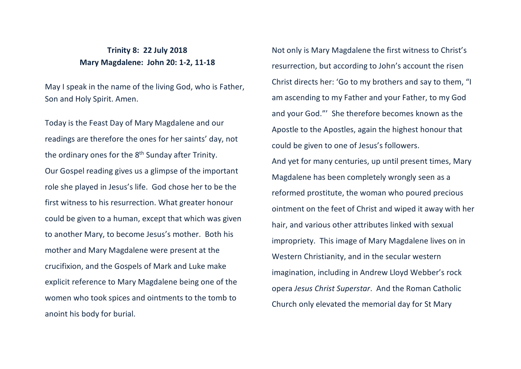## **Trinity 8: 22 July 2018 Mary Magdalene: John 20: 1-2, 11-18**

May I speak in the name of the living God, who is Father, Son and Holy Spirit. Amen.

Today is the Feast Day of Mary Magdalene and our readings are therefore the ones for her saints' day, not the ordinary ones for the 8<sup>th</sup> Sunday after Trinity. Our Gospel reading gives us a glimpse of the important role she played in Jesus's life. God chose her to be the first witness to his resurrection. What greater honour could be given to a human, except that which was given to another Mary, to become Jesus's mother. Both his mother and Mary Magdalene were present at the crucifixion, and the Gospels of Mark and Luke make explicit reference to Mary Magdalene being one of the women who took spices and ointments to the tomb to anoint his body for burial.

Not only is Mary Magdalene the first witness to Christ's resurrection, but according to John's account the risen Christ directs her: 'Go to my brothers and say to them, "I am ascending to my Father and your Father, to my God and your God."' She therefore becomes known as the Apostle to the Apostles, again the highest honour that could be given to one of Jesus's followers. And yet for many centuries, up until present times, Mary Magdalene has been completely wrongly seen as a reformed prostitute, the woman who poured precious ointment on the feet of Christ and wiped it away with her hair, and various other attributes linked with sexual impropriety. This image of Mary Magdalene lives on in Western Christianity, and in the secular western imagination, including in Andrew Lloyd Webber's rock opera *Jesus Christ Superstar*. And the Roman Catholic Church only elevated the memorial day for St Mary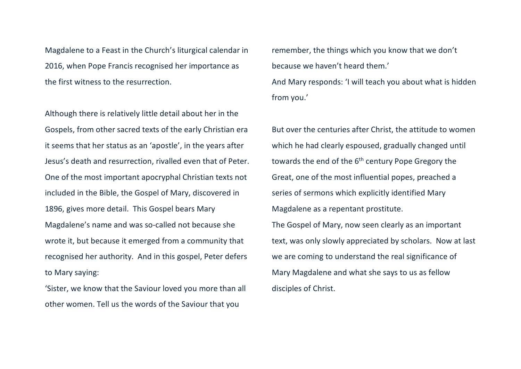Magdalene to a Feast in the Church's liturgical calendar in 2016, when Pope Francis recognised her importance as the first witness to the resurrection.

Although there is relatively little detail about her in the Gospels, from other sacred texts of the early Christian era it seems that her status as an 'apostle', in the years after Jesus's death and resurrection, rivalled even that of Peter. One of the most important apocryphal Christian texts not included in the Bible, the Gospel of Mary, discovered in 1896, gives more detail. This Gospel bears Mary Magdalene's name and was so-called not because she wrote it, but because it emerged from a community that recognised her authority. And in this gospel, Peter defers to Mary saying:

'Sister, we know that the Saviour loved you more than all other women. Tell us the words of the Saviour that you

remember, the things which you know that we don't because we haven't heard them.' And Mary responds: 'I will teach you about what is hidden from you.'

But over the centuries after Christ, the attitude to women which he had clearly espoused, gradually changed until towards the end of the 6<sup>th</sup> century Pope Gregory the Great, one of the most influential popes, preached a series of sermons which explicitly identified Mary Magdalene as a repentant prostitute. The Gospel of Mary, now seen clearly as an important text, was only slowly appreciated by scholars. Now at last we are coming to understand the real significance of Mary Magdalene and what she says to us as fellow disciples of Christ.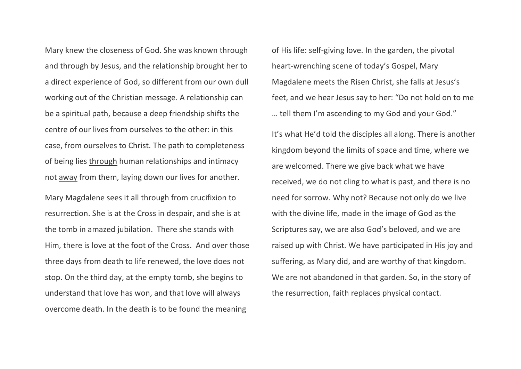Mary knew the closeness of God. She was known through and through by Jesus, and the relationship brought her to a direct experience of God, so different from our own dull working out of the Christian message. A relationship can be a spiritual path, because a deep friendship shifts the centre of our lives from ourselves to the other: in this case, from ourselves to Christ. The path to completeness of being lies through human relationships and intimacy not away from them, laying down our lives for another.

Mary Magdalene sees it all through from crucifixion to resurrection. She is at the Cross in despair, and she is at the tomb in amazed jubilation. There she stands with Him, there is love at the foot of the Cross. And over those three days from death to life renewed, the love does not stop. On the third day, at the empty tomb, she begins to understand that love has won, and that love will always overcome death. In the death is to be found the meaning

of His life: self-giving love. In the garden, the pivotal heart-wrenching scene of today's Gospel, Mary Magdalene meets the Risen Christ, she falls at Jesus's feet, and we hear Jesus say to her: "Do not hold on to me … tell them I'm ascending to my God and your God."

It's what He'd told the disciples all along. There is another kingdom beyond the limits of space and time, where we are welcomed. There we give back what we have received, we do not cling to what is past, and there is no need for sorrow. Why not? Because not only do we live with the divine life, made in the image of God as the Scriptures say, we are also God's beloved, and we are raised up with Christ. We have participated in His joy and suffering, as Mary did, and are worthy of that kingdom. We are not abandoned in that garden. So, in the story of the resurrection, faith replaces physical contact.